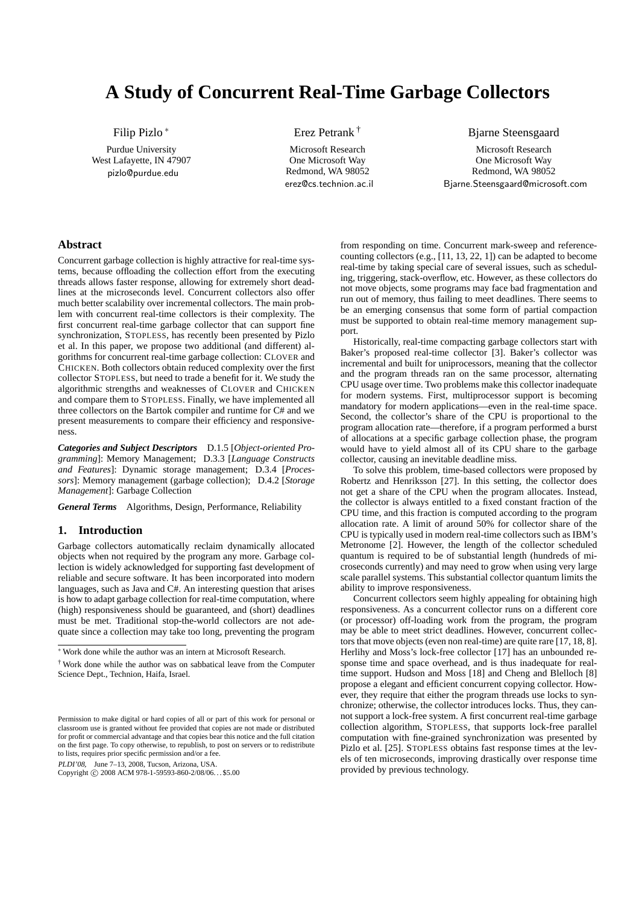# **A Study of Concurrent Real-Time Garbage Collectors**

Filip Pizlo <sup>∗</sup>

Purdue University West Lafayette, IN 47907 pizlo@purdue.edu

Erez Petrank †

Microsoft Research One Microsoft Way Redmond, WA 98052 erez@cs.technion.ac.il Bjarne Steensgaard

Microsoft Research One Microsoft Way Redmond, WA 98052 Bjarne.Steensgaard@microsoft.com

# **Abstract**

Concurrent garbage collection is highly attractive for real-time systems, because offloading the collection effort from the executing threads allows faster response, allowing for extremely short deadlines at the microseconds level. Concurrent collectors also offer much better scalability over incremental collectors. The main problem with concurrent real-time collectors is their complexity. The first concurrent real-time garbage collector that can support fine synchronization, STOPLESS, has recently been presented by Pizlo et al. In this paper, we propose two additional (and different) algorithms for concurrent real-time garbage collection: CLOVER and CHICKEN. Both collectors obtain reduced complexity over the first collector STOPLESS, but need to trade a benefit for it. We study the algorithmic strengths and weaknesses of CLOVER and CHICKEN and compare them to STOPLESS. Finally, we have implemented all three collectors on the Bartok compiler and runtime for C# and we present measurements to compare their efficiency and responsiveness.

*Categories and Subject Descriptors* D.1.5 [*Object-oriented Programming*]: Memory Management; D.3.3 [*Language Constructs and Features*]: Dynamic storage management; D.3.4 [*Processors*]: Memory management (garbage collection); D.4.2 [*Storage Management*]: Garbage Collection

*General Terms* Algorithms, Design, Performance, Reliability

## **1. Introduction**

Garbage collectors automatically reclaim dynamically allocated objects when not required by the program any more. Garbage collection is widely acknowledged for supporting fast development of reliable and secure software. It has been incorporated into modern languages, such as Java and C#. An interesting question that arises is how to adapt garbage collection for real-time computation, where (high) responsiveness should be guaranteed, and (short) deadlines must be met. Traditional stop-the-world collectors are not adequate since a collection may take too long, preventing the program

PLDI'08, June 7–13, 2008, Tucson, Arizona, USA.

Copyright © 2008 ACM 978-1-59593-860-2/08/06... \$5.00

from responding on time. Concurrent mark-sweep and referencecounting collectors (e.g., [11, 13, 22, 1]) can be adapted to become real-time by taking special care of several issues, such as scheduling, triggering, stack-overflow, etc. However, as these collectors do not move objects, some programs may face bad fragmentation and run out of memory, thus failing to meet deadlines. There seems to be an emerging consensus that some form of partial compaction must be supported to obtain real-time memory management support.

Historically, real-time compacting garbage collectors start with Baker's proposed real-time collector [3]. Baker's collector was incremental and built for uniprocessors, meaning that the collector and the program threads ran on the same processor, alternating CPU usage over time. Two problems make this collector inadequate for modern systems. First, multiprocessor support is becoming mandatory for modern applications—even in the real-time space. Second, the collector's share of the CPU is proportional to the program allocation rate—therefore, if a program performed a burst of allocations at a specific garbage collection phase, the program would have to yield almost all of its CPU share to the garbage collector, causing an inevitable deadline miss.

To solve this problem, time-based collectors were proposed by Robertz and Henriksson [27]. In this setting, the collector does not get a share of the CPU when the program allocates. Instead, the collector is always entitled to a fixed constant fraction of the CPU time, and this fraction is computed according to the program allocation rate. A limit of around 50% for collector share of the CPU is typically used in modern real-time collectors such as IBM's Metronome [2]. However, the length of the collector scheduled quantum is required to be of substantial length (hundreds of microseconds currently) and may need to grow when using very large scale parallel systems. This substantial collector quantum limits the ability to improve responsiveness.

Concurrent collectors seem highly appealing for obtaining high responsiveness. As a concurrent collector runs on a different core (or processor) off-loading work from the program, the program may be able to meet strict deadlines. However, concurrent collectors that move objects (even non real-time) are quite rare [17, 18, 8]. Herlihy and Moss's lock-free collector [17] has an unbounded response time and space overhead, and is thus inadequate for realtime support. Hudson and Moss [18] and Cheng and Blelloch [8] propose a elegant and efficient concurrent copying collector. However, they require that either the program threads use locks to synchronize; otherwise, the collector introduces locks. Thus, they cannot support a lock-free system. A first concurrent real-time garbage collection algorithm, STOPLESS, that supports lock-free parallel computation with fine-grained synchronization was presented by Pizlo et al. [25]. STOPLESS obtains fast response times at the levels of ten microseconds, improving drastically over response time provided by previous technology.

<sup>∗</sup> Work done while the author was an intern at Microsoft Research.

<sup>†</sup> Work done while the author was on sabbatical leave from the Computer Science Dept., Technion, Haifa, Israel.

Permission to make digital or hard copies of all or part of this work for personal or classroom use is granted without fee provided that copies are not made or distributed for profit or commercial advantage and that copies bear this notice and the full citation on the first page. To copy otherwise, to republish, to post on servers or to redistribute to lists, requires prior specific permission and/or a fee.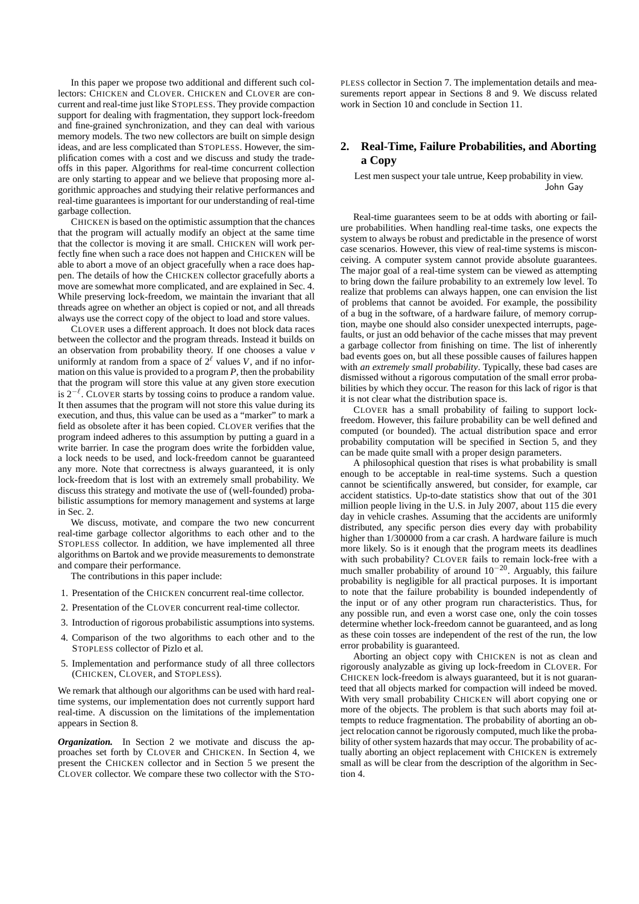In this paper we propose two additional and different such collectors: CHICKEN and CLOVER. CHICKEN and CLOVER are concurrent and real-time just like STOPLESS. They provide compaction support for dealing with fragmentation, they support lock-freedom and fine-grained synchronization, and they can deal with various memory models. The two new collectors are built on simple design ideas, and are less complicated than STOPLESS. However, the simplification comes with a cost and we discuss and study the tradeoffs in this paper. Algorithms for real-time concurrent collection are only starting to appear and we believe that proposing more algorithmic approaches and studying their relative performances and real-time guarantees is important for our understanding of real-time garbage collection.

CHICKEN is based on the optimistic assumption that the chances that the program will actually modify an object at the same time that the collector is moving it are small. CHICKEN will work perfectly fine when such a race does not happen and CHICKEN will be able to abort a move of an object gracefully when a race does happen. The details of how the CHICKEN collector gracefully aborts a move are somewhat more complicated, and are explained in Sec. 4. While preserving lock-freedom, we maintain the invariant that all threads agree on whether an object is copied or not, and all threads always use the correct copy of the object to load and store values.

CLOVER uses a different approach. It does not block data races between the collector and the program threads. Instead it builds on an observation from probability theory. If one chooses a value *v* uniformly at random from a space of  $2^{\ell}$  values *V*, and if no information on this value is provided to a program *P*, then the probability that the program will store this value at any given store execution is  $2^{-\ell}$ . CLOVER starts by tossing coins to produce a random value. It then assumes that the program will not store this value during its execution, and thus, this value can be used as a "marker" to mark a field as obsolete after it has been copied. CLOVER verifies that the program indeed adheres to this assumption by putting a guard in a write barrier. In case the program does write the forbidden value, a lock needs to be used, and lock-freedom cannot be guaranteed any more. Note that correctness is always guaranteed, it is only lock-freedom that is lost with an extremely small probability. We discuss this strategy and motivate the use of (well-founded) probabilistic assumptions for memory management and systems at large in Sec. 2.

We discuss, motivate, and compare the two new concurrent real-time garbage collector algorithms to each other and to the STOPLESS collector. In addition, we have implemented all three algorithms on Bartok and we provide measurements to demonstrate and compare their performance.

The contributions in this paper include:

- 1. Presentation of the CHICKEN concurrent real-time collector.
- 2. Presentation of the CLOVER concurrent real-time collector.
- 3. Introduction of rigorous probabilistic assumptions into systems.
- 4. Comparison of the two algorithms to each other and to the STOPLESS collector of Pizlo et al.
- 5. Implementation and performance study of all three collectors (CHICKEN, CLOVER, and STOPLESS).

We remark that although our algorithms can be used with hard realtime systems, our implementation does not currently support hard real-time. A discussion on the limitations of the implementation appears in Section 8.

*Organization.* In Section 2 we motivate and discuss the approaches set forth by CLOVER and CHICKEN. In Section 4, we present the CHICKEN collector and in Section 5 we present the CLOVER collector. We compare these two collector with the STO- PLESS collector in Section 7. The implementation details and measurements report appear in Sections 8 and 9. We discuss related work in Section 10 and conclude in Section 11.

# **2. Real-Time, Failure Probabilities, and Aborting a Copy**

Lest men suspect your tale untrue, Keep probability in view. John Gay

Real-time guarantees seem to be at odds with aborting or failure probabilities. When handling real-time tasks, one expects the system to always be robust and predictable in the presence of worst case scenarios. However, this view of real-time systems is misconceiving. A computer system cannot provide absolute guarantees. The major goal of a real-time system can be viewed as attempting to bring down the failure probability to an extremely low level. To realize that problems can always happen, one can envision the list of problems that cannot be avoided. For example, the possibility of a bug in the software, of a hardware failure, of memory corruption, maybe one should also consider unexpected interrupts, pagefaults, or just an odd behavior of the cache misses that may prevent a garbage collector from finishing on time. The list of inherently bad events goes on, but all these possible causes of failures happen with *an extremely small probability*. Typically, these bad cases are dismissed without a rigorous computation of the small error probabilities by which they occur. The reason for this lack of rigor is that it is not clear what the distribution space is.

CLOVER has a small probability of failing to support lockfreedom. However, this failure probability can be well defined and computed (or bounded). The actual distribution space and error probability computation will be specified in Section 5, and they can be made quite small with a proper design parameters.

A philosophical question that rises is what probability is small enough to be acceptable in real-time systems. Such a question cannot be scientifically answered, but consider, for example, car accident statistics. Up-to-date statistics show that out of the 301 million people living in the U.S. in July 2007, about 115 die every day in vehicle crashes. Assuming that the accidents are uniformly distributed, any specific person dies every day with probability higher than 1/300000 from a car crash. A hardware failure is much more likely. So is it enough that the program meets its deadlines with such probability? CLOVER fails to remain lock-free with a much smaller probability of around  $10^{-20}$ . Arguably, this failure probability is negligible for all practical purposes. It is important to note that the failure probability is bounded independently of the input or of any other program run characteristics. Thus, for any possible run, and even a worst case one, only the coin tosses determine whether lock-freedom cannot be guaranteed, and as long as these coin tosses are independent of the rest of the run, the low error probability is guaranteed.

Aborting an object copy with CHICKEN is not as clean and rigorously analyzable as giving up lock-freedom in CLOVER. For CHICKEN lock-freedom is always guaranteed, but it is not guaranteed that all objects marked for compaction will indeed be moved. With very small probability CHICKEN will abort copying one or more of the objects. The problem is that such aborts may foil attempts to reduce fragmentation. The probability of aborting an object relocation cannot be rigorously computed, much like the probability of other system hazards that may occur. The probability of actually aborting an object replacement with CHICKEN is extremely small as will be clear from the description of the algorithm in Section 4.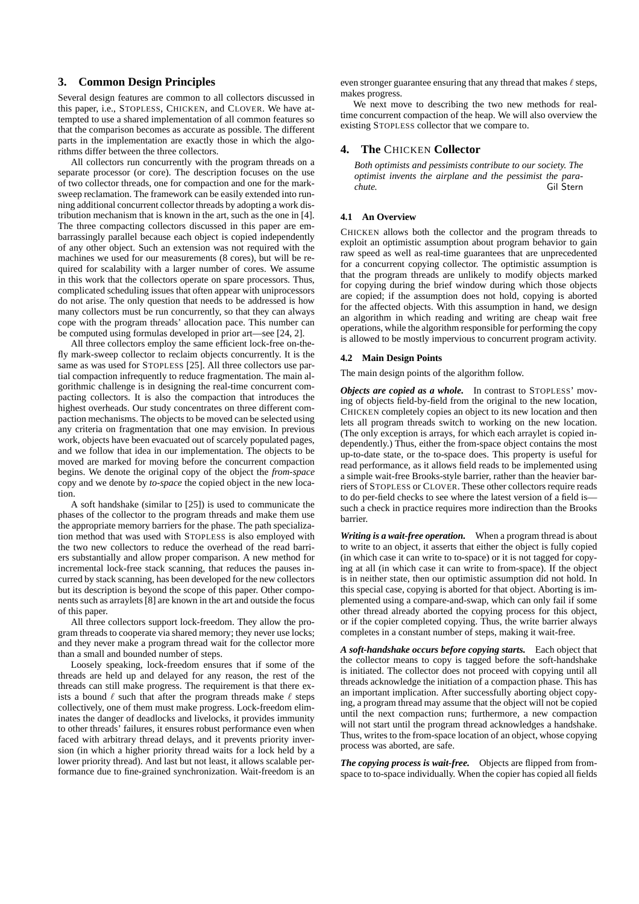## **3. Common Design Principles**

Several design features are common to all collectors discussed in this paper, i.e., STOPLESS, CHICKEN, and CLOVER. We have attempted to use a shared implementation of all common features so that the comparison becomes as accurate as possible. The different parts in the implementation are exactly those in which the algorithms differ between the three collectors.

All collectors run concurrently with the program threads on a separate processor (or core). The description focuses on the use of two collector threads, one for compaction and one for the marksweep reclamation. The framework can be easily extended into running additional concurrent collector threads by adopting a work distribution mechanism that is known in the art, such as the one in [4]. The three compacting collectors discussed in this paper are embarrassingly parallel because each object is copied independently of any other object. Such an extension was not required with the machines we used for our measurements (8 cores), but will be required for scalability with a larger number of cores. We assume in this work that the collectors operate on spare processors. Thus, complicated scheduling issues that often appear with uniprocessors do not arise. The only question that needs to be addressed is how many collectors must be run concurrently, so that they can always cope with the program threads' allocation pace. This number can be computed using formulas developed in prior art—see [24, 2].

All three collectors employ the same efficient lock-free on-thefly mark-sweep collector to reclaim objects concurrently. It is the same as was used for STOPLESS [25]. All three collectors use partial compaction infrequently to reduce fragmentation. The main algorithmic challenge is in designing the real-time concurrent compacting collectors. It is also the compaction that introduces the highest overheads. Our study concentrates on three different compaction mechanisms. The objects to be moved can be selected using any criteria on fragmentation that one may envision. In previous work, objects have been evacuated out of scarcely populated pages, and we follow that idea in our implementation. The objects to be moved are marked for moving before the concurrent compaction begins. We denote the original copy of the object the *from-space* copy and we denote by *to-space* the copied object in the new location.

A soft handshake (similar to [25]) is used to communicate the phases of the collector to the program threads and make them use the appropriate memory barriers for the phase. The path specialization method that was used with STOPLESS is also employed with the two new collectors to reduce the overhead of the read barriers substantially and allow proper comparison. A new method for incremental lock-free stack scanning, that reduces the pauses incurred by stack scanning, has been developed for the new collectors but its description is beyond the scope of this paper. Other components such as arraylets [8] are known in the art and outside the focus of this paper.

All three collectors support lock-freedom. They allow the program threads to cooperate via shared memory; they never use locks; and they never make a program thread wait for the collector more than a small and bounded number of steps.

Loosely speaking, lock-freedom ensures that if some of the threads are held up and delayed for any reason, the rest of the threads can still make progress. The requirement is that there exists a bound  $\ell$  such that after the program threads make  $\ell$  steps collectively, one of them must make progress. Lock-freedom eliminates the danger of deadlocks and livelocks, it provides immunity to other threads' failures, it ensures robust performance even when faced with arbitrary thread delays, and it prevents priority inversion (in which a higher priority thread waits for a lock held by a lower priority thread). And last but not least, it allows scalable performance due to fine-grained synchronization. Wait-freedom is an even stronger guarantee ensuring that any thread that makes  $\ell$  steps, makes progress.

We next move to describing the two new methods for realtime concurrent compaction of the heap. We will also overview the existing STOPLESS collector that we compare to.

## **4. The** CHICKEN **Collector**

*Both optimists and pessimists contribute to our society. The optimist invents the airplane and the pessimist the parachute* Gil Stern

## **4.1 An Overview**

CHICKEN allows both the collector and the program threads to exploit an optimistic assumption about program behavior to gain raw speed as well as real-time guarantees that are unprecedented for a concurrent copying collector. The optimistic assumption is that the program threads are unlikely to modify objects marked for copying during the brief window during which those objects are copied; if the assumption does not hold, copying is aborted for the affected objects. With this assumption in hand, we design an algorithm in which reading and writing are cheap wait free operations, while the algorithm responsible for performing the copy is allowed to be mostly impervious to concurrent program activity.

#### **4.2 Main Design Points**

The main design points of the algorithm follow.

*Objects are copied as a whole.* In contrast to STOPLESS' moving of objects field-by-field from the original to the new location, CHICKEN completely copies an object to its new location and then lets all program threads switch to working on the new location. (The only exception is arrays, for which each arraylet is copied independently.) Thus, either the from-space object contains the most up-to-date state, or the to-space does. This property is useful for read performance, as it allows field reads to be implemented using a simple wait-free Brooks-style barrier, rather than the heavier barriers of STOPLESS or CLOVER. These other collectors require reads to do per-field checks to see where the latest version of a field is such a check in practice requires more indirection than the Brooks barrier.

*Writing is a wait-free operation.* When a program thread is about to write to an object, it asserts that either the object is fully copied (in which case it can write to to-space) or it is not tagged for copying at all (in which case it can write to from-space). If the object is in neither state, then our optimistic assumption did not hold. In this special case, copying is aborted for that object. Aborting is implemented using a compare-and-swap, which can only fail if some other thread already aborted the copying process for this object, or if the copier completed copying. Thus, the write barrier always completes in a constant number of steps, making it wait-free.

*A soft-handshake occurs before copying starts.* Each object that the collector means to copy is tagged before the soft-handshake is initiated. The collector does not proceed with copying until all threads acknowledge the initiation of a compaction phase. This has an important implication. After successfully aborting object copying, a program thread may assume that the object will not be copied until the next compaction runs; furthermore, a new compaction will not start until the program thread acknowledges a handshake. Thus, writes to the from-space location of an object, whose copying process was aborted, are safe.

*The copying process is wait-free.* Objects are flipped from fromspace to to-space individually. When the copier has copied all fields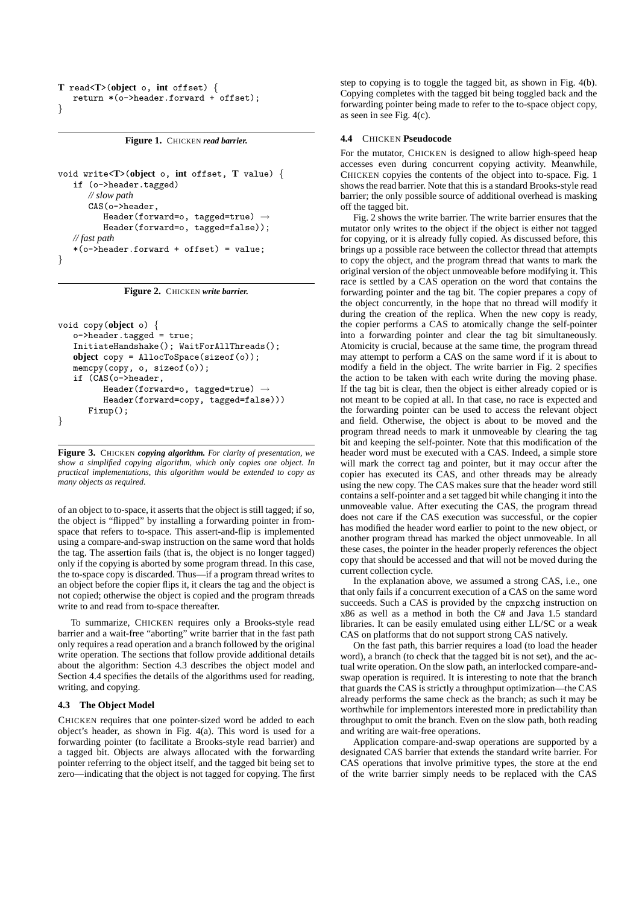```
T read<T>(object o, int offset) {
   return *(o->header.forward + offset);
}
```
**Figure 1.** CHICKEN *read barrier.*

```
void write<T>(object o, int offset, T value) {
   if (o->header.tagged)
      // slow path
      CAS(o->header,
         Header(forward=o, tagged=true) \rightarrowHeader(forward=o, tagged=false));
   // fast path
   *(o->header.forward + offset) = value;
}
```
**Figure 2.** CHICKEN *write barrier.*

```
void copy(object o) {
   o->header.tagged = true;
   InitiateHandshake(); WaitForAllThreads();
   object copy = AllocToSpace(sizeof(o));
   memcpy(copy, o, sizeof(o));
   if (CAS(o->header,
         Header(forward=o, tagged=true) →
         Header(forward=copy, tagged=false)))
      Fixup();
}
```
**Figure 3.** CHICKEN *copying algorithm. For clarity of presentation, we show a simplified copying algorithm, which only copies one object. In practical implementations, this algorithm would be extended to copy as many objects as required.*

of an object to to-space, it asserts that the object is still tagged; if so, the object is "flipped" by installing a forwarding pointer in fromspace that refers to to-space. This assert-and-flip is implemented using a compare-and-swap instruction on the same word that holds the tag. The assertion fails (that is, the object is no longer tagged) only if the copying is aborted by some program thread. In this case, the to-space copy is discarded. Thus—if a program thread writes to an object before the copier flips it, it clears the tag and the object is not copied; otherwise the object is copied and the program threads write to and read from to-space thereafter.

To summarize, CHICKEN requires only a Brooks-style read barrier and a wait-free "aborting" write barrier that in the fast path only requires a read operation and a branch followed by the original write operation. The sections that follow provide additional details about the algorithm: Section 4.3 describes the object model and Section 4.4 specifies the details of the algorithms used for reading, writing, and copying.

#### **4.3 The Object Model**

CHICKEN requires that one pointer-sized word be added to each object's header, as shown in Fig. 4(a). This word is used for a forwarding pointer (to facilitate a Brooks-style read barrier) and a tagged bit. Objects are always allocated with the forwarding pointer referring to the object itself, and the tagged bit being set to zero—indicating that the object is not tagged for copying. The first

step to copying is to toggle the tagged bit, as shown in Fig. 4(b). Copying completes with the tagged bit being toggled back and the forwarding pointer being made to refer to the to-space object copy, as seen in see Fig. 4(c).

### **4.4** CHICKEN **Pseudocode**

For the mutator, CHICKEN is designed to allow high-speed heap accesses even during concurrent copying activity. Meanwhile, CHICKEN copyies the contents of the object into to-space. Fig. 1 shows the read barrier. Note that this is a standard Brooks-style read barrier; the only possible source of additional overhead is masking off the tagged bit.

Fig. 2 shows the write barrier. The write barrier ensures that the mutator only writes to the object if the object is either not tagged for copying, or it is already fully copied. As discussed before, this brings up a possible race between the collector thread that attempts to copy the object, and the program thread that wants to mark the original version of the object unmoveable before modifying it. This race is settled by a CAS operation on the word that contains the forwarding pointer and the tag bit. The copier prepares a copy of the object concurrently, in the hope that no thread will modify it during the creation of the replica. When the new copy is ready, the copier performs a CAS to atomically change the self-pointer into a forwarding pointer and clear the tag bit simultaneously. Atomicity is crucial, because at the same time, the program thread may attempt to perform a CAS on the same word if it is about to modify a field in the object. The write barrier in Fig. 2 specifies the action to be taken with each write during the moving phase. If the tag bit is clear, then the object is either already copied or is not meant to be copied at all. In that case, no race is expected and the forwarding pointer can be used to access the relevant object and field. Otherwise, the object is about to be moved and the program thread needs to mark it unmoveable by clearing the tag bit and keeping the self-pointer. Note that this modification of the header word must be executed with a CAS. Indeed, a simple store will mark the correct tag and pointer, but it may occur after the copier has executed its CAS, and other threads may be already using the new copy. The CAS makes sure that the header word still contains a self-pointer and a set tagged bit while changing it into the unmoveable value. After executing the CAS, the program thread does not care if the CAS execution was successful, or the copier has modified the header word earlier to point to the new object, or another program thread has marked the object unmoveable. In all these cases, the pointer in the header properly references the object copy that should be accessed and that will not be moved during the current collection cycle.

In the explanation above, we assumed a strong CAS, i.e., one that only fails if a concurrent execution of a CAS on the same word succeeds. Such a CAS is provided by the cmpxchg instruction on x86 as well as a method in both the C# and Java 1.5 standard libraries. It can be easily emulated using either LL/SC or a weak CAS on platforms that do not support strong CAS natively.

On the fast path, this barrier requires a load (to load the header word), a branch (to check that the tagged bit is not set), and the actual write operation. On the slow path, an interlocked compare-andswap operation is required. It is interesting to note that the branch that guards the CAS is strictly a throughput optimization—the CAS already performs the same check as the branch; as such it may be worthwhile for implementors interested more in predictability than throughput to omit the branch. Even on the slow path, both reading and writing are wait-free operations.

Application compare-and-swap operations are supported by a designated CAS barrier that extends the standard write barrier. For CAS operations that involve primitive types, the store at the end of the write barrier simply needs to be replaced with the CAS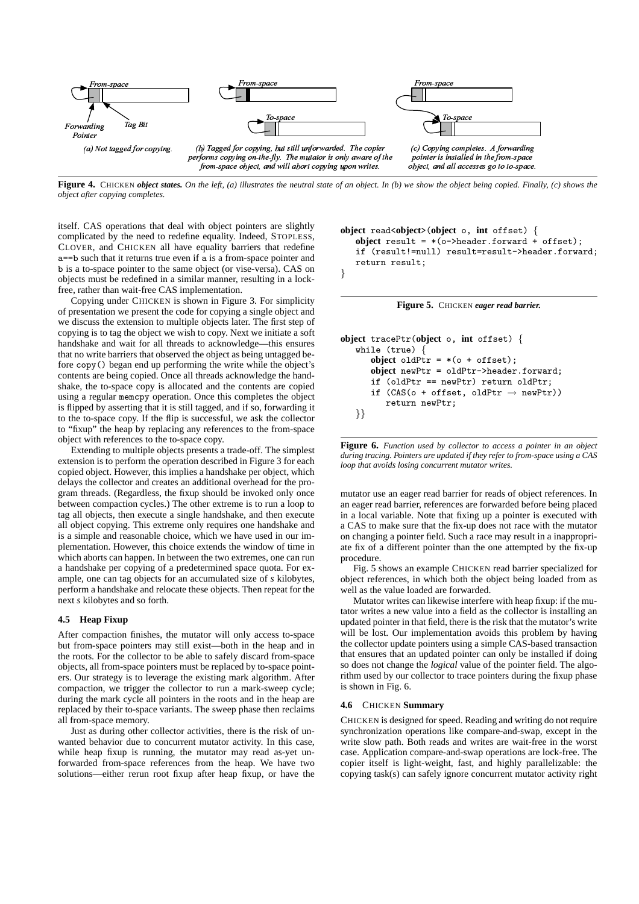

**Figure 4.** CHICKEN *object states. On the left, (a) illustrates the neutral state of an object. In (b) we show the object being copied. Finally, (c) shows the object after copying completes.*

itself. CAS operations that deal with object pointers are slightly complicated by the need to redefine equality. Indeed, STOPLESS, CLOVER, and CHICKEN all have equality barriers that redefine a==b such that it returns true even if a is a from-space pointer and b is a to-space pointer to the same object (or vise-versa). CAS on objects must be redefined in a similar manner, resulting in a lockfree, rather than wait-free CAS implementation.

Copying under CHICKEN is shown in Figure 3. For simplicity of presentation we present the code for copying a single object and we discuss the extension to multiple objects later. The first step of copying is to tag the object we wish to copy. Next we initiate a soft handshake and wait for all threads to acknowledge—this ensures that no write barriers that observed the object as being untagged before copy() began end up performing the write while the object's contents are being copied. Once all threads acknowledge the handshake, the to-space copy is allocated and the contents are copied using a regular memcpy operation. Once this completes the object is flipped by asserting that it is still tagged, and if so, forwarding it to the to-space copy. If the flip is successful, we ask the collector to "fixup" the heap by replacing any references to the from-space object with references to the to-space copy.

Extending to multiple objects presents a trade-off. The simplest extension is to perform the operation described in Figure 3 for each copied object. However, this implies a handshake per object, which delays the collector and creates an additional overhead for the program threads. (Regardless, the fixup should be invoked only once between compaction cycles.) The other extreme is to run a loop to tag all objects, then execute a single handshake, and then execute all object copying. This extreme only requires one handshake and is a simple and reasonable choice, which we have used in our implementation. However, this choice extends the window of time in which aborts can happen. In between the two extremes, one can run a handshake per copying of a predetermined space quota. For example, one can tag objects for an accumulated size of *s* kilobytes, perform a handshake and relocate these objects. Then repeat for the next *s* kilobytes and so forth.

#### **4.5 Heap Fixup**

After compaction finishes, the mutator will only access to-space but from-space pointers may still exist—both in the heap and in the roots. For the collector to be able to safely discard from-space objects, all from-space pointers must be replaced by to-space pointers. Our strategy is to leverage the existing mark algorithm. After compaction, we trigger the collector to run a mark-sweep cycle; during the mark cycle all pointers in the roots and in the heap are replaced by their to-space variants. The sweep phase then reclaims all from-space memory.

Just as during other collector activities, there is the risk of unwanted behavior due to concurrent mutator activity. In this case, while heap fixup is running, the mutator may read as-yet unforwarded from-space references from the heap. We have two solutions—either rerun root fixup after heap fixup, or have the **object** read<**object**>(**object** o, **int** offset) { **object** result =  $*(o-)$ header.forward + offset); if (result!=null) result=result->header.forward; return result; }



```
object tracePtr(object o, int offset) {
   while (true) {
      object oldPtr = *(o + offset);
      object newPtr = oldPtr->header.forward;
      if (oldPtr == newPtr) return oldPtr;
      if (CAS(o + offset, oldPut \rightarrow newPtr))return newPtr;
   }}
```
**Figure 6.** *Function used by collector to access a pointer in an object during tracing. Pointers are updated if they refer to from-space using a CAS loop that avoids losing concurrent mutator writes.*

mutator use an eager read barrier for reads of object references. In an eager read barrier, references are forwarded before being placed in a local variable. Note that fixing up a pointer is executed with a CAS to make sure that the fix-up does not race with the mutator on changing a pointer field. Such a race may result in a inappropriate fix of a different pointer than the one attempted by the fix-up procedure.

Fig. 5 shows an example CHICKEN read barrier specialized for object references, in which both the object being loaded from as well as the value loaded are forwarded.

Mutator writes can likewise interfere with heap fixup: if the mutator writes a new value into a field as the collector is installing an updated pointer in that field, there is the risk that the mutator's write will be lost. Our implementation avoids this problem by having the collector update pointers using a simple CAS-based transaction that ensures that an updated pointer can only be installed if doing so does not change the *logical* value of the pointer field. The algorithm used by our collector to trace pointers during the fixup phase is shown in Fig. 6.

#### **4.6** CHICKEN **Summary**

CHICKEN is designed for speed. Reading and writing do not require synchronization operations like compare-and-swap, except in the write slow path. Both reads and writes are wait-free in the worst case. Application compare-and-swap operations are lock-free. The copier itself is light-weight, fast, and highly parallelizable: the copying task(s) can safely ignore concurrent mutator activity right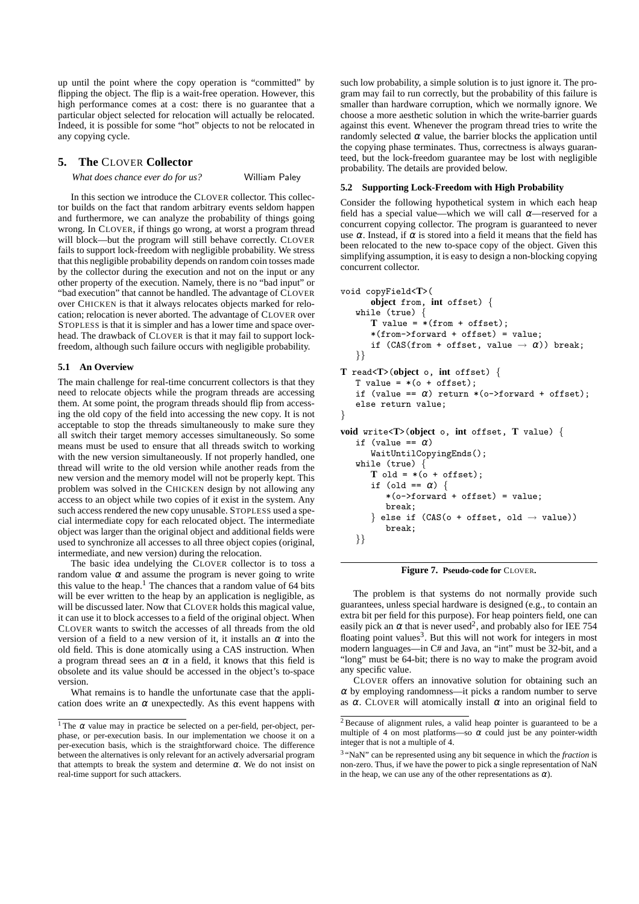up until the point where the copy operation is "committed" by flipping the object. The flip is a wait-free operation. However, this high performance comes at a cost: there is no guarantee that a particular object selected for relocation will actually be relocated. Indeed, it is possible for some "hot" objects to not be relocated in any copying cycle.

#### **5. The** CLOVER **Collector**

*What does chance ever do for us?* William Paley

In this section we introduce the CLOVER collector. This collector builds on the fact that random arbitrary events seldom happen and furthermore, we can analyze the probability of things going wrong. In CLOVER, if things go wrong, at worst a program thread will block—but the program will still behave correctly. CLOVER fails to support lock-freedom with negligible probability. We stress that this negligible probability depends on random coin tosses made by the collector during the execution and not on the input or any other property of the execution. Namely, there is no "bad input" or "bad execution" that cannot be handled. The advantage of CLOVER over CHICKEN is that it always relocates objects marked for relocation; relocation is never aborted. The advantage of CLOVER over STOPLESS is that it is simpler and has a lower time and space overhead. The drawback of CLOVER is that it may fail to support lockfreedom, although such failure occurs with negligible probability.

#### **5.1 An Overview**

The main challenge for real-time concurrent collectors is that they need to relocate objects while the program threads are accessing them. At some point, the program threads should flip from accessing the old copy of the field into accessing the new copy. It is not acceptable to stop the threads simultaneously to make sure they all switch their target memory accesses simultaneously. So some means must be used to ensure that all threads switch to working with the new version simultaneously. If not properly handled, one thread will write to the old version while another reads from the new version and the memory model will not be properly kept. This problem was solved in the CHICKEN design by not allowing any access to an object while two copies of it exist in the system. Any such access rendered the new copy unusable. STOPLESS used a special intermediate copy for each relocated object. The intermediate object was larger than the original object and additional fields were used to synchronize all accesses to all three object copies (original, intermediate, and new version) during the relocation.

The basic idea undelying the CLOVER collector is to toss a random value  $\alpha$  and assume the program is never going to write this value to the heap.<sup>1</sup> The chances that a random value of 64 bits will be ever written to the heap by an application is negligible, as will be discussed later. Now that CLOVER holds this magical value, it can use it to block accesses to a field of the original object. When CLOVER wants to switch the accesses of all threads from the old version of a field to a new version of it, it installs an  $\alpha$  into the old field. This is done atomically using a CAS instruction. When a program thread sees an  $\alpha$  in a field, it knows that this field is obsolete and its value should be accessed in the object's to-space version.

What remains is to handle the unfortunate case that the application does write an  $\alpha$  unexpectedly. As this event happens with such low probability, a simple solution is to just ignore it. The program may fail to run correctly, but the probability of this failure is smaller than hardware corruption, which we normally ignore. We choose a more aesthetic solution in which the write-barrier guards against this event. Whenever the program thread tries to write the randomly selected  $\alpha$  value, the barrier blocks the application until the copying phase terminates. Thus, correctness is always guaranteed, but the lock-freedom guarantee may be lost with negligible probability. The details are provided below.

#### **5.2 Supporting Lock-Freedom with High Probability**

Consider the following hypothetical system in which each heap field has a special value—which we will call  $\alpha$ —reserved for a concurrent copying collector. The program is guaranteed to never use  $\alpha$ . Instead, if  $\alpha$  is stored into a field it means that the field has been relocated to the new to-space copy of the object. Given this simplifying assumption, it is easy to design a non-blocking copying concurrent collector.

```
void copyField<T>(
      object from, int offset) {
   while (true) {
      T value = *(from + offset);
      *(from->forward + offset) = value;
      if (CAS(from + offset, value \rightarrow \alpha)) break;
   }}
T read<T>(object o, int offset) {
   T value = *(o + offset);if (value == \alpha) return *(o->forward + offset);
   else return value;
}
void write<T>(object o, int offset, T value) {
   if (value == \alpha)
      WaitUntilCopyingEnds();
   while (true) {
      T old = *(o + offset);if (old == \alpha) {
         *(o->forward + offset) = value;
         break;
      \} else if (CAS(o + offset, old \rightarrow value))
         break;
   }}
```
#### **Figure 7. Pseudo-code for** CLOVER**.**

The problem is that systems do not normally provide such guarantees, unless special hardware is designed (e.g., to contain an extra bit per field for this purpose). For heap pointers field, one can easily pick an  $\alpha$  that is never used<sup>2</sup>, and probably also for IEE 754 floating point values<sup>3</sup>. But this will not work for integers in most modern languages—in C# and Java, an "int" must be 32-bit, and a "long" must be 64-bit; there is no way to make the program avoid any specific value.

CLOVER offers an innovative solution for obtaining such an  $\alpha$  by employing randomness—it picks a random number to serve as  $\alpha$ . CLOVER will atomically install  $\alpha$  into an original field to

<sup>&</sup>lt;sup>1</sup> The  $\alpha$  value may in practice be selected on a per-field, per-object, perphase, or per-execution basis. In our implementation we choose it on a per-execution basis, which is the straightforward choice. The difference between the alternatives is only relevant for an actively adversarial program that attempts to break the system and determine  $\alpha$ . We do not insist on real-time support for such attackers.

 $2$  Because of alignment rules, a valid heap pointer is guaranteed to be a multiple of 4 on most platforms—so  $\alpha$  could just be any pointer-width integer that is not a multiple of 4.

<sup>&</sup>lt;sup>3</sup> "NaN" can be represented using any bit sequence in which the *fraction* is non-zero. Thus, if we have the power to pick a single representation of NaN in the heap, we can use any of the other representations as  $\alpha$ ).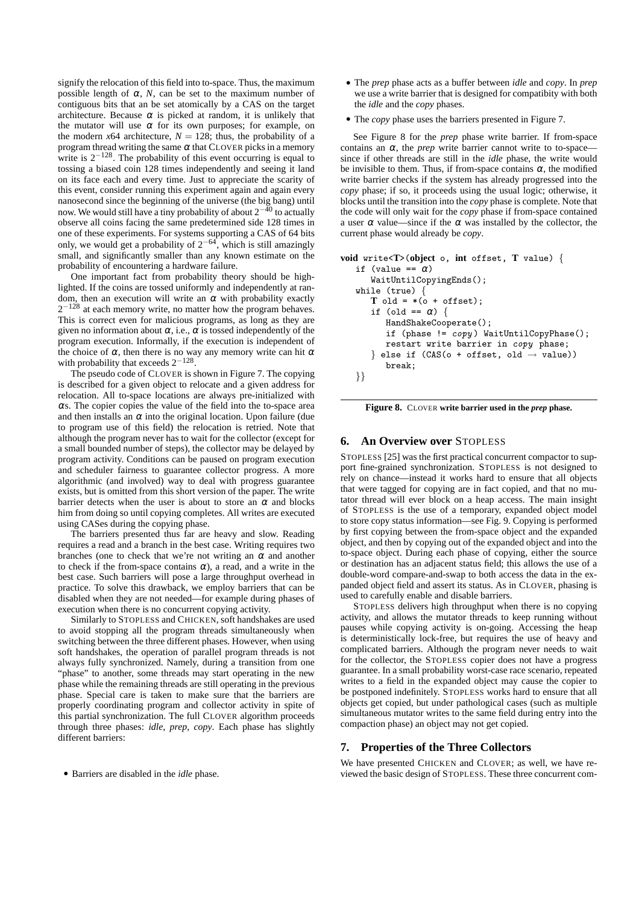signify the relocation of this field into to-space. Thus, the maximum possible length of  $\alpha$ , *N*, can be set to the maximum number of contiguous bits that an be set atomically by a CAS on the target architecture. Because  $\alpha$  is picked at random, it is unlikely that the mutator will use  $\alpha$  for its own purposes; for example, on the modern  $x64$  architecture,  $N = 128$ ; thus, the probability of a program thread writing the same  $\alpha$  that CLOVER picks in a memory write is  $2^{-128}$ . The probability of this event occurring is equal to tossing a biased coin 128 times independently and seeing it land on its face each and every time. Just to appreciate the scarity of this event, consider running this experiment again and again every nanosecond since the beginning of the universe (the big bang) until now. We would still have a tiny probability of about  $2^{-\bar{4}0}$  to actually observe all coins facing the same predetermined side 128 times in one of these experiments. For systems supporting a CAS of 64 bits only, we would get a probability of  $2^{-64}$ , which is still amazingly small, and significantly smaller than any known estimate on the probability of encountering a hardware failure.

One important fact from probability theory should be highlighted. If the coins are tossed uniformly and independently at random, then an execution will write an  $\alpha$  with probability exactly 2<sup>-128</sup> at each memory write, no matter how the program behaves. This is correct even for malicious programs, as long as they are given no information about  $\alpha$ , i.e.,  $\alpha$  is tossed independently of the program execution. Informally, if the execution is independent of the choice of  $\alpha$ , then there is no way any memory write can hit  $\alpha$ with probability that exceeds  $2^{-128}$ .

The pseudo code of CLOVER is shown in Figure 7. The copying is described for a given object to relocate and a given address for relocation. All to-space locations are always pre-initialized with  $\alpha$ s. The copier copies the value of the field into the to-space area and then installs an  $\alpha$  into the original location. Upon failure (due to program use of this field) the relocation is retried. Note that although the program never has to wait for the collector (except for a small bounded number of steps), the collector may be delayed by program activity. Conditions can be paused on program execution and scheduler fairness to guarantee collector progress. A more algorithmic (and involved) way to deal with progress guarantee exists, but is omitted from this short version of the paper. The write barrier detects when the user is about to store an  $\alpha$  and blocks him from doing so until copying completes. All writes are executed using CASes during the copying phase.

The barriers presented thus far are heavy and slow. Reading requires a read and a branch in the best case. Writing requires two branches (one to check that we're not writing an  $\alpha$  and another to check if the from-space contains  $\alpha$ ), a read, and a write in the best case. Such barriers will pose a large throughput overhead in practice. To solve this drawback, we employ barriers that can be disabled when they are not needed—for example during phases of execution when there is no concurrent copying activity.

Similarly to STOPLESS and CHICKEN, soft handshakes are used to avoid stopping all the program threads simultaneously when switching between the three different phases. However, when using soft handshakes, the operation of parallel program threads is not always fully synchronized. Namely, during a transition from one "phase" to another, some threads may start operating in the new phase while the remaining threads are still operating in the previous phase. Special care is taken to make sure that the barriers are properly coordinating program and collector activity in spite of this partial synchronization. The full CLOVER algorithm proceeds through three phases: *idle*, *prep*, *copy*. Each phase has slightly different barriers:

• Barriers are disabled in the *idle* phase.

- The *prep* phase acts as a buffer between *idle* and *copy*. In *prep* we use a write barrier that is designed for compatibity with both the *idle* and the *copy* phases.
- The *copy* phase uses the barriers presented in Figure 7.

See Figure 8 for the *prep* phase write barrier. If from-space contains an  $\alpha$ , the *prep* write barrier cannot write to to-space since if other threads are still in the *idle* phase, the write would be invisible to them. Thus, if from-space contains  $\alpha$ , the modified write barrier checks if the system has already progressed into the *copy* phase; if so, it proceeds using the usual logic; otherwise, it blocks until the transition into the *copy* phase is complete. Note that the code will only wait for the *copy* phase if from-space contained a user  $\alpha$  value—since if the  $\alpha$  was installed by the collector, the current phase would already be *copy*.

```
void write<T>(object o, int offset, T value) {
```

```
if (v \text{value} == \alpha)WaitUntilCopyingEnds();
while (true) {
   T old = *(o + offset);
   if (old == \alpha) {
      HandShakeCooperate();
      if (phase != copy) WaitUntilCopyPhase();
      restart write barrier in copy phase;
   \} else if (CAS(o + offset, old \rightarrow value))
      break;
}}
```
**Figure 8.** CLOVER **write barrier used in the** *prep* **phase.**

## **6. An Overview over** STOPLESS

STOPLESS [25] was the first practical concurrent compactor to support fine-grained synchronization. STOPLESS is not designed to rely on chance—instead it works hard to ensure that all objects that were tagged for copying are in fact copied, and that no mutator thread will ever block on a heap access. The main insight of STOPLESS is the use of a temporary, expanded object model to store copy status information—see Fig. 9. Copying is performed by first copying between the from-space object and the expanded object, and then by copying out of the expanded object and into the to-space object. During each phase of copying, either the source or destination has an adjacent status field; this allows the use of a double-word compare-and-swap to both access the data in the expanded object field and assert its status. As in CLOVER, phasing is used to carefully enable and disable barriers.

STOPLESS delivers high throughput when there is no copying activity, and allows the mutator threads to keep running without pauses while copying activity is on-going. Accessing the heap is deterministically lock-free, but requires the use of heavy and complicated barriers. Although the program never needs to wait for the collector, the STOPLESS copier does not have a progress guarantee. In a small probability worst-case race scenario, repeated writes to a field in the expanded object may cause the copier to be postponed indefinitely. STOPLESS works hard to ensure that all objects get copied, but under pathological cases (such as multiple simultaneous mutator writes to the same field during entry into the compaction phase) an object may not get copied.

## **7. Properties of the Three Collectors**

We have presented CHICKEN and CLOVER; as well, we have reviewed the basic design of STOPLESS. These three concurrent com-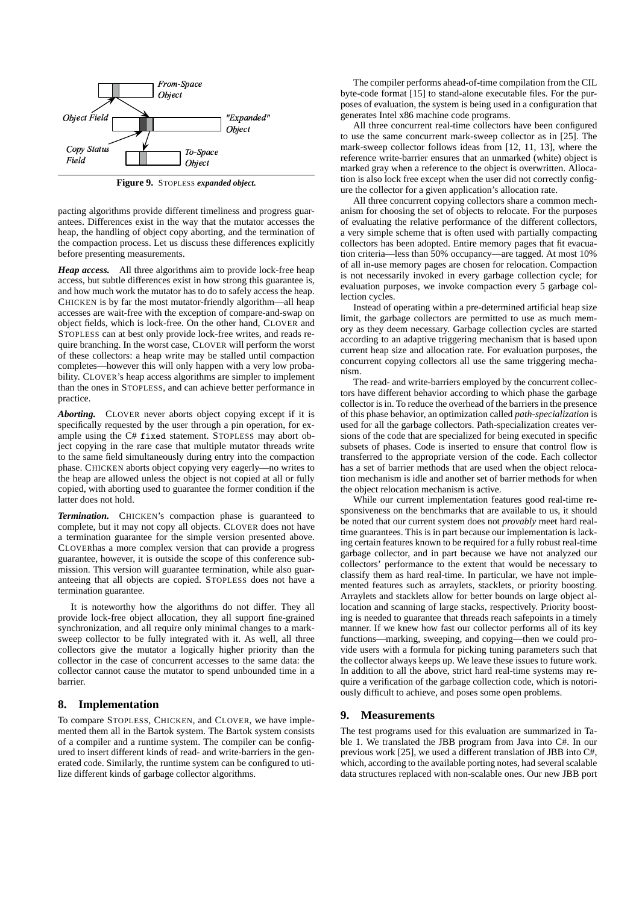

**Figure 9.** STOPLESS *expanded object.*

pacting algorithms provide different timeliness and progress guarantees. Differences exist in the way that the mutator accesses the heap, the handling of object copy aborting, and the termination of the compaction process. Let us discuss these differences explicitly before presenting measurements.

*Heap access.* All three algorithms aim to provide lock-free heap access, but subtle differences exist in how strong this guarantee is, and how much work the mutator has to do to safely access the heap. CHICKEN is by far the most mutator-friendly algorithm—all heap accesses are wait-free with the exception of compare-and-swap on object fields, which is lock-free. On the other hand, CLOVER and STOPLESS can at best only provide lock-free writes, and reads require branching. In the worst case, CLOVER will perform the worst of these collectors: a heap write may be stalled until compaction completes—however this will only happen with a very low probability. CLOVER's heap access algorithms are simpler to implement than the ones in STOPLESS, and can achieve better performance in practice.

*Aborting.* CLOVER never aborts object copying except if it is specifically requested by the user through a pin operation, for example using the C# fixed statement. STOPLESS may abort object copying in the rare case that multiple mutator threads write to the same field simultaneously during entry into the compaction phase. CHICKEN aborts object copying very eagerly—no writes to the heap are allowed unless the object is not copied at all or fully copied, with aborting used to guarantee the former condition if the latter does not hold.

*Termination.* CHICKEN's compaction phase is guaranteed to complete, but it may not copy all objects. CLOVER does not have a termination guarantee for the simple version presented above. CLOVERhas a more complex version that can provide a progress guarantee, however, it is outside the scope of this conference submission. This version will guarantee termination, while also guaranteeing that all objects are copied. STOPLESS does not have a termination guarantee.

It is noteworthy how the algorithms do not differ. They all provide lock-free object allocation, they all support fine-grained synchronization, and all require only minimal changes to a marksweep collector to be fully integrated with it. As well, all three collectors give the mutator a logically higher priority than the collector in the case of concurrent accesses to the same data: the collector cannot cause the mutator to spend unbounded time in a barrier.

## **8. Implementation**

To compare STOPLESS, CHICKEN, and CLOVER, we have implemented them all in the Bartok system. The Bartok system consists of a compiler and a runtime system. The compiler can be configured to insert different kinds of read- and write-barriers in the generated code. Similarly, the runtime system can be configured to utilize different kinds of garbage collector algorithms.

The compiler performs ahead-of-time compilation from the CIL byte-code format [15] to stand-alone executable files. For the purposes of evaluation, the system is being used in a configuration that generates Intel x86 machine code programs.

All three concurrent real-time collectors have been configured to use the same concurrent mark-sweep collector as in [25]. The mark-sweep collector follows ideas from [12, 11, 13], where the reference write-barrier ensures that an unmarked (white) object is marked gray when a reference to the object is overwritten. Allocation is also lock free except when the user did not correctly configure the collector for a given application's allocation rate.

All three concurrent copying collectors share a common mechanism for choosing the set of objects to relocate. For the purposes of evaluating the relative performance of the different collectors, a very simple scheme that is often used with partially compacting collectors has been adopted. Entire memory pages that fit evacuation criteria—less than 50% occupancy—are tagged. At most 10% of all in-use memory pages are chosen for relocation. Compaction is not necessarily invoked in every garbage collection cycle; for evaluation purposes, we invoke compaction every 5 garbage collection cycles.

Instead of operating within a pre-determined artificial heap size limit, the garbage collectors are permitted to use as much memory as they deem necessary. Garbage collection cycles are started according to an adaptive triggering mechanism that is based upon current heap size and allocation rate. For evaluation purposes, the concurrent copying collectors all use the same triggering mechanism.

The read- and write-barriers employed by the concurrent collectors have different behavior according to which phase the garbage collector is in. To reduce the overhead of the barriers in the presence of this phase behavior, an optimization called *path-specialization* is used for all the garbage collectors. Path-specialization creates versions of the code that are specialized for being executed in specific subsets of phases. Code is inserted to ensure that control flow is transferred to the appropriate version of the code. Each collector has a set of barrier methods that are used when the object relocation mechanism is idle and another set of barrier methods for when the object relocation mechanism is active.

While our current implementation features good real-time responsiveness on the benchmarks that are available to us, it should be noted that our current system does not *provably* meet hard realtime guarantees. This is in part because our implementation is lacking certain features known to be required for a fully robust real-time garbage collector, and in part because we have not analyzed our collectors' performance to the extent that would be necessary to classify them as hard real-time. In particular, we have not implemented features such as arraylets, stacklets, or priority boosting. Arraylets and stacklets allow for better bounds on large object allocation and scanning of large stacks, respectively. Priority boosting is needed to guarantee that threads reach safepoints in a timely manner. If we knew how fast our collector performs all of its key functions—marking, sweeping, and copying—then we could provide users with a formula for picking tuning parameters such that the collector always keeps up. We leave these issues to future work. In addition to all the above, strict hard real-time systems may require a verification of the garbage collection code, which is notoriously difficult to achieve, and poses some open problems.

## **9. Measurements**

The test programs used for this evaluation are summarized in Table 1. We translated the JBB program from Java into C#. In our previous work [25], we used a different translation of JBB into C#, which, according to the available porting notes, had several scalable data structures replaced with non-scalable ones. Our new JBB port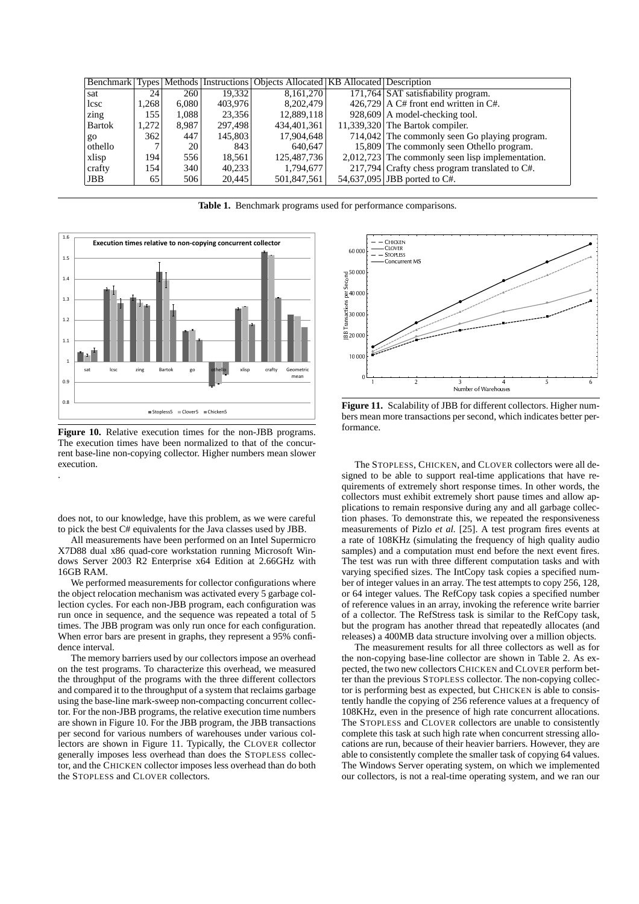|               |      |                 |         | Benchmark   Types   Methods   Instructions   Objects Allocated   KB Allocated   Description |                                                  |
|---------------|------|-----------------|---------|---------------------------------------------------------------------------------------------|--------------------------------------------------|
| sat           | 24   | 260             | 19.332  | 8,161,270                                                                                   | 171,764 SAT satisfiability program.              |
| lcsc          | .268 | 6.080           | 403,976 | 8,202,479                                                                                   | $426,729$ A C# front end written in C#.          |
| zing          | 155  | 1.088           | 23.356  | 12,889,118                                                                                  | $928,609$ A model-checking tool.                 |
| <b>Bartok</b> | 272  | 8.987           | 297.498 | 434,401,361                                                                                 | $11,339,320$ The Bartok compiler.                |
| $g_{O}$       | 362  | 447             | 145,803 | 17,904,648                                                                                  | 714,042 The commonly seen Go playing program.    |
| othello       |      | 20 <sup>1</sup> | 843     | 640.647                                                                                     | 15,809 The commonly seen Othello program.        |
| xlisp         | 194  | 556             | 18,561  | 125,487,736                                                                                 | 2,012,723 The commonly seen lisp implementation. |
| crafty        | 154  | 340             | 40.233  | 1,794,677                                                                                   | $217,794$ Crafty chess program translated to C#. |
| JBB           | 65   | 506             | 20.445  | 501,847,561                                                                                 | 54,637,095 JBB ported to C#.                     |

**Table 1.** Benchmark programs used for performance comparisons.



**Figure 10.** Relative execution times for the non-JBB programs. The execution times have been normalized to that of the concurrent base-line non-copying collector. Higher numbers mean slower execution.

.

does not, to our knowledge, have this problem, as we were careful to pick the best C# equivalents for the Java classes used by JBB.

All measurements have been performed on an Intel Supermicro X7D88 dual x86 quad-core workstation running Microsoft Windows Server 2003 R2 Enterprise x64 Edition at 2.66GHz with 16GB RAM.

We performed measurements for collector configurations where the object relocation mechanism was activated every 5 garbage collection cycles. For each non-JBB program, each configuration was run once in sequence, and the sequence was repeated a total of 5 times. The JBB program was only run once for each configuration. When error bars are present in graphs, they represent a 95% confidence interval.

The memory barriers used by our collectors impose an overhead on the test programs. To characterize this overhead, we measured the throughput of the programs with the three different collectors and compared it to the throughput of a system that reclaims garbage using the base-line mark-sweep non-compacting concurrent collector. For the non-JBB programs, the relative execution time numbers are shown in Figure 10. For the JBB program, the JBB transactions per second for various numbers of warehouses under various collectors are shown in Figure 11. Typically, the CLOVER collector generally imposes less overhead than does the STOPLESS collector, and the CHICKEN collector imposes less overhead than do both the STOPLESS and CLOVER collectors.



**Figure 11.** Scalability of JBB for different collectors. Higher numbers mean more transactions per second, which indicates better performance.

The STOPLESS, CHICKEN, and CLOVER collectors were all designed to be able to support real-time applications that have requirements of extremely short response times. In other words, the collectors must exhibit extremely short pause times and allow applications to remain responsive during any and all garbage collection phases. To demonstrate this, we repeated the responsiveness measurements of Pizlo *et al.* [25]. A test program fires events at a rate of 108KHz (simulating the frequency of high quality audio samples) and a computation must end before the next event fires. The test was run with three different computation tasks and with varying specified sizes. The IntCopy task copies a specified number of integer values in an array. The test attempts to copy 256, 128, or 64 integer values. The RefCopy task copies a specified number of reference values in an array, invoking the reference write barrier of a collector. The RefStress task is similar to the RefCopy task, but the program has another thread that repeatedly allocates (and releases) a 400MB data structure involving over a million objects.

The measurement results for all three collectors as well as for the non-copying base-line collector are shown in Table 2. As expected, the two new collectors CHICKEN and CLOVER perform better than the previous STOPLESS collector. The non-copying collector is performing best as expected, but CHICKEN is able to consistently handle the copying of 256 reference values at a frequency of 108KHz, even in the presence of high rate concurrent allocations. The STOPLESS and CLOVER collectors are unable to consistently complete this task at such high rate when concurrent stressing allocations are run, because of their heavier barriers. However, they are able to consistently complete the smaller task of copying 64 values. The Windows Server operating system, on which we implemented our collectors, is not a real-time operating system, and we ran our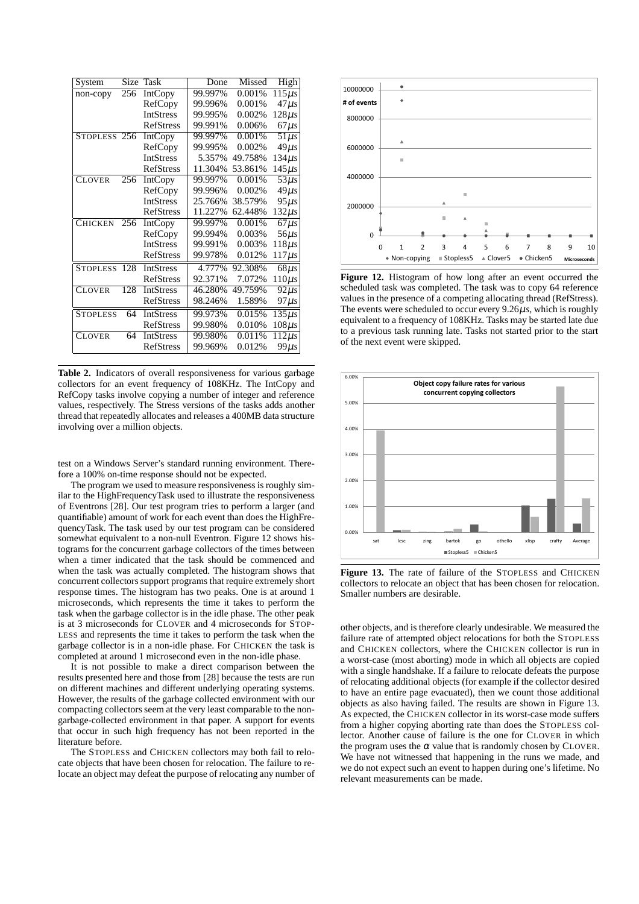| System          | Size | Task             | Done    | Missed  | High                   |
|-----------------|------|------------------|---------|---------|------------------------|
| non-copy        | 256  | <b>IntCopy</b>   | 99.997% | 0.001%  | $\overline{115} \mu s$ |
|                 |      | RefCopy          | 99.996% | 0.001%  | $47 \mu s$             |
|                 |      | <b>IntStress</b> | 99.995% | 0.002%  | $128\mu s$             |
|                 |      | <b>RefStress</b> | 99.991% | 0.006%  | $67 \mu s$             |
| STOPLESS 256    |      | <b>IntCopy</b>   | 99.997% | 0.001%  | $51 \mu s$             |
|                 |      | RefCopy          | 99.995% | 0.002%  | $49 \mu s$             |
|                 |      | <b>IntStress</b> | 5.357%  | 49.758% | $134\mu s$             |
|                 |      | RefStress        | 11.304% | 53.861% | $145 \mu s$            |
| <b>CLOVER</b>   | 256  | <b>IntCopy</b>   | 99.997% | 0.001%  | $53\mu s$              |
|                 |      | RefCopy          | 99.996% | 0.002%  | $49 \mu s$             |
|                 |      | <b>IntStress</b> | 25.766% | 38.579% | $95 \mu s$             |
|                 |      | RefStress        | 11.227% | 62.448% | $132\mu s$             |
| <b>CHICKEN</b>  | 256  | <b>IntCopy</b>   | 99.997% | 0.001%  | $67 \mu s$             |
|                 |      | RefCopy          | 99.994% | 0.003%  | $56 \mu s$             |
|                 |      | <b>IntStress</b> | 99.991% | 0.003%  | $118 \mu s$            |
|                 |      | <b>RefStress</b> | 99.978% | 0.012%  | $117 \mu s$            |
| <b>STOPLESS</b> | 128  | IntStress        | 4.777%  | 92.308% | $68\mu s$              |
|                 |      | <b>RefStress</b> | 92.371% | 7.072%  | $110\mu s$             |
| <b>CLOVER</b>   | 128  | <b>IntStress</b> | 46.280% | 49.759% | $92\mu s$              |
|                 |      | <b>RefStress</b> | 98.246% | 1.589%  | $97 \mu s$             |
| <b>STOPLESS</b> | 64   | <b>IntStress</b> | 99.973% | 0.015%  | $135\mu s$             |
|                 |      | RefStress        | 99.980% | 0.010%  | $108 \mu s$            |
| <b>CLOVER</b>   | 64   | <b>IntStress</b> | 99.980% | 0.011%  | $112\mu s$             |
|                 |      | <b>RefStress</b> | 99.969% | 0.012%  | $99 \mu s$             |

**Table 2.** Indicators of overall responsiveness for various garbage collectors for an event frequency of 108KHz. The IntCopy and RefCopy tasks involve copying a number of integer and reference values, respectively. The Stress versions of the tasks adds another thread that repeatedly allocates and releases a 400MB data structure involving over a million objects.

test on a Windows Server's standard running environment. Therefore a 100% on-time response should not be expected.

The program we used to measure responsiveness is roughly similar to the HighFrequencyTask used to illustrate the responsiveness of Eventrons [28]. Our test program tries to perform a larger (and quantifiable) amount of work for each event than does the HighFrequencyTask. The task used by our test program can be considered somewhat equivalent to a non-null Eventron. Figure 12 shows histograms for the concurrent garbage collectors of the times between when a timer indicated that the task should be commenced and when the task was actually completed. The histogram shows that concurrent collectors support programs that require extremely short response times. The histogram has two peaks. One is at around 1 microseconds, which represents the time it takes to perform the task when the garbage collector is in the idle phase. The other peak is at 3 microseconds for CLOVER and 4 microseconds for STOP-LESS and represents the time it takes to perform the task when the garbage collector is in a non-idle phase. For CHICKEN the task is completed at around 1 microsecond even in the non-idle phase.

It is not possible to make a direct comparison between the results presented here and those from [28] because the tests are run on different machines and different underlying operating systems. However, the results of the garbage collected environment with our compacting collectors seem at the very least comparable to the nongarbage-collected environment in that paper. A support for events that occur in such high frequency has not been reported in the literature before.

The STOPLESS and CHICKEN collectors may both fail to relocate objects that have been chosen for relocation. The failure to relocate an object may defeat the purpose of relocating any number of



**Figure 12.** Histogram of how long after an event occurred the scheduled task was completed. The task was to copy 64 reference values in the presence of a competing allocating thread (RefStress). The events were scheduled to occur every 9.26µ*s*, which is roughly equivalent to a frequency of 108KHz. Tasks may be started late due to a previous task running late. Tasks not started prior to the start of the next event were skipped.



**Figure 13.** The rate of failure of the STOPLESS and CHICKEN collectors to relocate an object that has been chosen for relocation. Smaller numbers are desirable.

other objects, and is therefore clearly undesirable. We measured the failure rate of attempted object relocations for both the STOPLESS and CHICKEN collectors, where the CHICKEN collector is run in a worst-case (most aborting) mode in which all objects are copied with a single handshake. If a failure to relocate defeats the purpose of relocating additional objects (for example if the collector desired to have an entire page evacuated), then we count those additional objects as also having failed. The results are shown in Figure 13. As expected, the CHICKEN collector in its worst-case mode suffers from a higher copying aborting rate than does the STOPLESS collector. Another cause of failure is the one for CLOVER in which the program uses the  $\alpha$  value that is randomly chosen by CLOVER. We have not witnessed that happening in the runs we made, and we do not expect such an event to happen during one's lifetime. No relevant measurements can be made.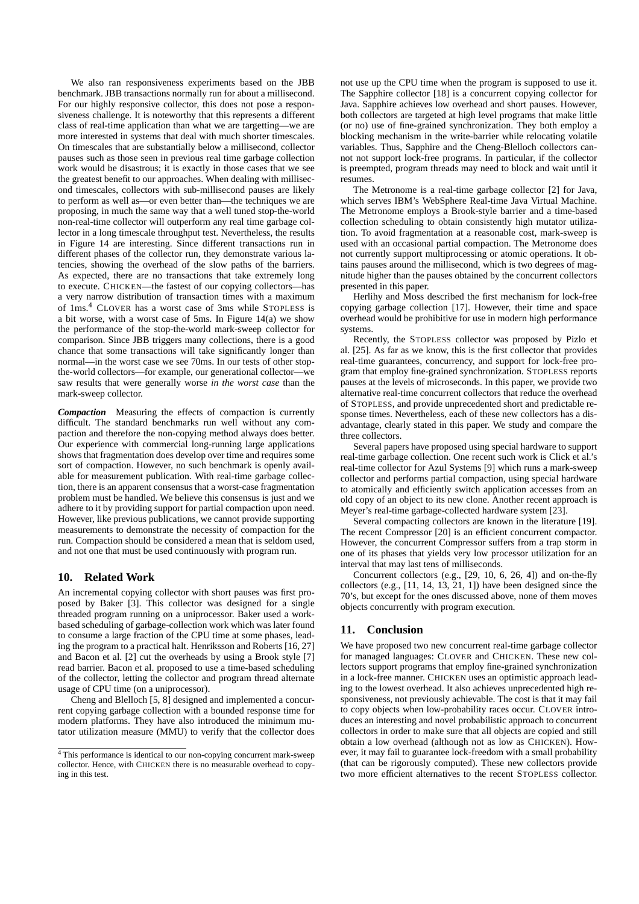We also ran responsiveness experiments based on the JBB benchmark. JBB transactions normally run for about a millisecond. For our highly responsive collector, this does not pose a responsiveness challenge. It is noteworthy that this represents a different class of real-time application than what we are targetting—we are more interested in systems that deal with much shorter timescales. On timescales that are substantially below a millisecond, collector pauses such as those seen in previous real time garbage collection work would be disastrous; it is exactly in those cases that we see the greatest benefit to our approaches. When dealing with millisecond timescales, collectors with sub-millisecond pauses are likely to perform as well as—or even better than—the techniques we are proposing, in much the same way that a well tuned stop-the-world non-real-time collector will outperform any real time garbage collector in a long timescale throughput test. Nevertheless, the results in Figure 14 are interesting. Since different transactions run in different phases of the collector run, they demonstrate various latencies, showing the overhead of the slow paths of the barriers. As expected, there are no transactions that take extremely long to execute. CHICKEN—the fastest of our copying collectors—has a very narrow distribution of transaction times with a maximum of 1ms.<sup>4</sup> CLOVER has a worst case of 3ms while STOPLESS is a bit worse, with a worst case of 5ms. In Figure 14(a) we show the performance of the stop-the-world mark-sweep collector for comparison. Since JBB triggers many collections, there is a good chance that some transactions will take significantly longer than normal—in the worst case we see 70ms. In our tests of other stopthe-world collectors—for example, our generational collector—we saw results that were generally worse *in the worst case* than the mark-sweep collector.

*Compaction* Measuring the effects of compaction is currently difficult. The standard benchmarks run well without any compaction and therefore the non-copying method always does better. Our experience with commercial long-running large applications shows that fragmentation does develop over time and requires some sort of compaction. However, no such benchmark is openly available for measurement publication. With real-time garbage collection, there is an apparent consensus that a worst-case fragmentation problem must be handled. We believe this consensus is just and we adhere to it by providing support for partial compaction upon need. However, like previous publications, we cannot provide supporting measurements to demonstrate the necessity of compaction for the run. Compaction should be considered a mean that is seldom used, and not one that must be used continuously with program run.

## **10. Related Work**

An incremental copying collector with short pauses was first proposed by Baker [3]. This collector was designed for a single threaded program running on a uniprocessor. Baker used a workbased scheduling of garbage-collection work which was later found to consume a large fraction of the CPU time at some phases, leading the program to a practical halt. Henriksson and Roberts [16, 27] and Bacon et al. [2] cut the overheads by using a Brook style [7] read barrier. Bacon et al. proposed to use a time-based scheduling of the collector, letting the collector and program thread alternate usage of CPU time (on a uniprocessor).

Cheng and Blelloch [5, 8] designed and implemented a concurrent copying garbage collection with a bounded response time for modern platforms. They have also introduced the minimum mutator utilization measure (MMU) to verify that the collector does not use up the CPU time when the program is supposed to use it. The Sapphire collector [18] is a concurrent copying collector for Java. Sapphire achieves low overhead and short pauses. However, both collectors are targeted at high level programs that make little (or no) use of fine-grained synchronization. They both employ a blocking mechanism in the write-barrier while relocating volatile variables. Thus, Sapphire and the Cheng-Blelloch collectors cannot not support lock-free programs. In particular, if the collector is preempted, program threads may need to block and wait until it resumes.

The Metronome is a real-time garbage collector [2] for Java, which serves IBM's WebSphere Real-time Java Virtual Machine. The Metronome employs a Brook-style barrier and a time-based collection scheduling to obtain consistently high mutator utilization. To avoid fragmentation at a reasonable cost, mark-sweep is used with an occasional partial compaction. The Metronome does not currently support multiprocessing or atomic operations. It obtains pauses around the millisecond, which is two degrees of magnitude higher than the pauses obtained by the concurrent collectors presented in this paper.

Herlihy and Moss described the first mechanism for lock-free copying garbage collection [17]. However, their time and space overhead would be prohibitive for use in modern high performance systems.

Recently, the STOPLESS collector was proposed by Pizlo et al. [25]. As far as we know, this is the first collector that provides real-time guarantees, concurrency, and support for lock-free program that employ fine-grained synchronization. STOPLESS reports pauses at the levels of microseconds. In this paper, we provide two alternative real-time concurrent collectors that reduce the overhead of STOPLESS, and provide unprecedented short and predictable response times. Nevertheless, each of these new collectors has a disadvantage, clearly stated in this paper. We study and compare the three collectors.

Several papers have proposed using special hardware to support real-time garbage collection. One recent such work is Click et al.'s real-time collector for Azul Systems [9] which runs a mark-sweep collector and performs partial compaction, using special hardware to atomically and efficiently switch application accesses from an old copy of an object to its new clone. Another recent approach is Meyer's real-time garbage-collected hardware system [23].

Several compacting collectors are known in the literature [19]. The recent Compressor [20] is an efficient concurrent compactor. However, the concurrent Compressor suffers from a trap storm in one of its phases that yields very low processor utilization for an interval that may last tens of milliseconds.

Concurrent collectors (e.g., [29, 10, 6, 26, 4]) and on-the-fly collectors (e.g., [11, 14, 13, 21, 1]) have been designed since the 70's, but except for the ones discussed above, none of them moves objects concurrently with program execution.

# **11. Conclusion**

We have proposed two new concurrent real-time garbage collector for managed languages: CLOVER and CHICKEN. These new collectors support programs that employ fine-grained synchronization in a lock-free manner. CHICKEN uses an optimistic approach leading to the lowest overhead. It also achieves unprecedented high responsiveness, not previously achievable. The cost is that it may fail to copy objects when low-probability races occur. CLOVER introduces an interesting and novel probabilistic approach to concurrent collectors in order to make sure that all objects are copied and still obtain a low overhead (although not as low as CHICKEN). However, it may fail to guarantee lock-freedom with a small probability (that can be rigorously computed). These new collectors provide two more efficient alternatives to the recent STOPLESS collector.

<sup>4</sup> This performance is identical to our non-copying concurrent mark-sweep collector. Hence, with CHICKEN there is no measurable overhead to copying in this test.